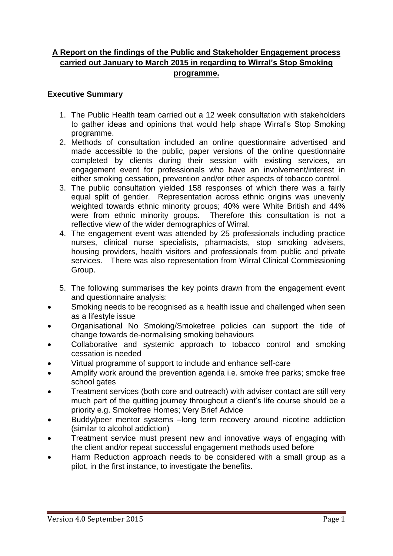# **A Report on the findings of the Public and Stakeholder Engagement process carried out January to March 2015 in regarding to Wirral's Stop Smoking programme.**

## **Executive Summary**

- 1. The Public Health team carried out a 12 week consultation with stakeholders to gather ideas and opinions that would help shape Wirral's Stop Smoking programme.
- 2. Methods of consultation included an online questionnaire advertised and made accessible to the public, paper versions of the online questionnaire completed by clients during their session with existing services, an engagement event for professionals who have an involvement/interest in either smoking cessation, prevention and/or other aspects of tobacco control.
- 3. The public consultation yielded 158 responses of which there was a fairly equal split of gender. Representation across ethnic origins was unevenly weighted towards ethnic minority groups; 40% were White British and 44% were from ethnic minority groups. Therefore this consultation is not a reflective view of the wider demographics of Wirral.
- 4. The engagement event was attended by 25 professionals including practice nurses, clinical nurse specialists, pharmacists, stop smoking advisers, housing providers, health visitors and professionals from public and private services. There was also representation from Wirral Clinical Commissioning Group.
- 5. The following summarises the key points drawn from the engagement event and questionnaire analysis:
- Smoking needs to be recognised as a health issue and challenged when seen as a lifestyle issue
- Organisational No Smoking/Smokefree policies can support the tide of change towards de-normalising smoking behaviours
- Collaborative and systemic approach to tobacco control and smoking cessation is needed
- Virtual programme of support to include and enhance self-care
- Amplify work around the prevention agenda i.e. smoke free parks; smoke free school gates
- Treatment services (both core and outreach) with adviser contact are still very much part of the quitting journey throughout a client's life course should be a priority e.g. Smokefree Homes; Very Brief Advice
- Buddy/peer mentor systems –long term recovery around nicotine addiction (similar to alcohol addiction)
- Treatment service must present new and innovative ways of engaging with the client and/or repeat successful engagement methods used before
- Harm Reduction approach needs to be considered with a small group as a pilot, in the first instance, to investigate the benefits.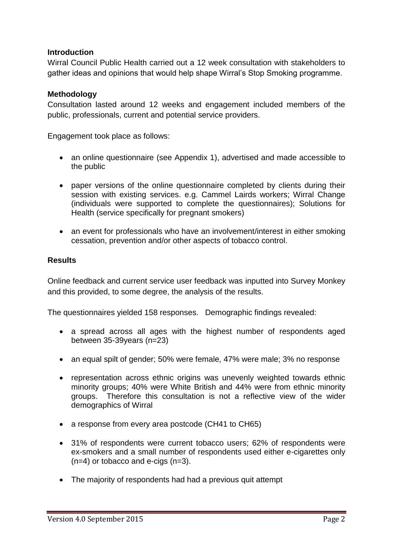## **Introduction**

Wirral Council Public Health carried out a 12 week consultation with stakeholders to gather ideas and opinions that would help shape Wirral's Stop Smoking programme.

### **Methodology**

Consultation lasted around 12 weeks and engagement included members of the public, professionals, current and potential service providers.

Engagement took place as follows:

- an online questionnaire (see Appendix 1), advertised and made accessible to the public
- paper versions of the online questionnaire completed by clients during their session with existing services. e.g. Cammel Lairds workers; Wirral Change (individuals were supported to complete the questionnaires); Solutions for Health (service specifically for pregnant smokers)
- an event for professionals who have an involvement/interest in either smoking cessation, prevention and/or other aspects of tobacco control.

### **Results**

Online feedback and current service user feedback was inputted into Survey Monkey and this provided, to some degree, the analysis of the results.

The questionnaires yielded 158 responses. Demographic findings revealed:

- a spread across all ages with the highest number of respondents aged between 35-39years (n=23)
- an equal spilt of gender; 50% were female, 47% were male; 3% no response
- representation across ethnic origins was unevenly weighted towards ethnic minority groups; 40% were White British and 44% were from ethnic minority groups. Therefore this consultation is not a reflective view of the wider demographics of Wirral
- a response from every area postcode (CH41 to CH65)
- 31% of respondents were current tobacco users; 62% of respondents were ex-smokers and a small number of respondents used either e-cigarettes only  $(n=4)$  or tobacco and e-cigs  $(n=3)$ .
- The majority of respondents had had a previous quit attempt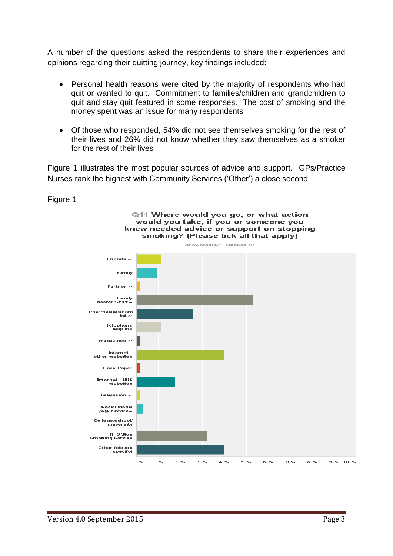A number of the questions asked the respondents to share their experiences and opinions regarding their quitting journey, key findings included:

- Personal health reasons were cited by the majority of respondents who had quit or wanted to quit. Commitment to families/children and grandchildren to quit and stay quit featured in some responses. The cost of smoking and the money spent was an issue for many respondents
- Of those who responded, 54% did not see themselves smoking for the rest of their lives and 26% did not know whether they saw themselves as a smoker for the rest of their lives

Figure 1 illustrates the most popular sources of advice and support. GPs/Practice Nurses rank the highest with Community Services ('Other') a close second.

Figure 1

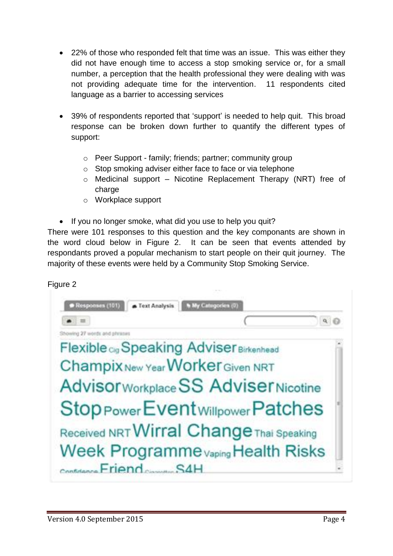- 22% of those who responded felt that time was an issue. This was either they did not have enough time to access a stop smoking service or, for a small number, a perception that the health professional they were dealing with was not providing adequate time for the intervention. 11 respondents cited language as a barrier to accessing services
- 39% of respondents reported that 'support' is needed to help quit. This broad response can be broken down further to quantify the different types of support:
	- o Peer Support family; friends; partner; community group
	- o Stop smoking adviser either face to face or via telephone
	- o Medicinal support Nicotine Replacement Therapy (NRT) free of charge
	- o Workplace support
- If you no longer smoke, what did you use to help you quit?

There were 101 responses to this question and the key componants are shown in the word cloud below in Figure 2. It can be seen that events attended by respondants proved a popular mechanism to start people on their quit journey. The majority of these events were held by a Community Stop Smoking Service.

Figure 2

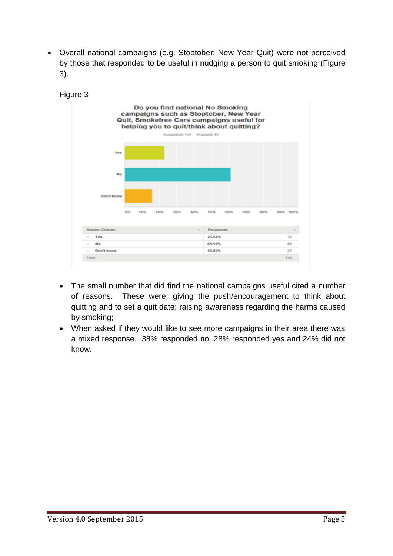Overall national campaigns (e.g. Stoptober; New Year Quit) were not perceived by those that responded to be useful in nudging a person to quit smoking (Figure 3).



- The small number that did find the national campaigns useful cited a number of reasons. These were; giving the push/encouragement to think about quitting and to set a quit date; raising awareness regarding the harms caused by smoking;
- When asked if they would like to see more campaigns in their area there was a mixed response. 38% responded no, 28% responded yes and 24% did not know.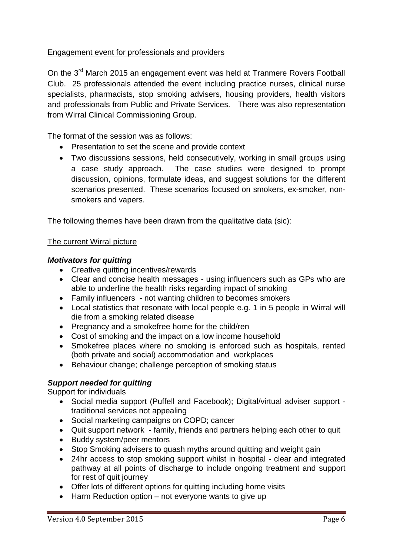# Engagement event for professionals and providers

On the 3<sup>rd</sup> March 2015 an engagement event was held at Tranmere Rovers Football Club. 25 professionals attended the event including practice nurses, clinical nurse specialists, pharmacists, stop smoking advisers, housing providers, health visitors and professionals from Public and Private Services. There was also representation from Wirral Clinical Commissioning Group.

The format of the session was as follows:

- Presentation to set the scene and provide context
- Two discussions sessions, held consecutively, working in small groups using a case study approach. The case studies were designed to prompt discussion, opinions, formulate ideas, and suggest solutions for the different scenarios presented. These scenarios focused on smokers, ex-smoker, nonsmokers and vapers.

The following themes have been drawn from the qualitative data (sic):

### The current Wirral picture

### *Motivators for quitting*

- Creative quitting incentives/rewards
- Clear and concise health messages using influencers such as GPs who are able to underline the health risks regarding impact of smoking
- Family influencers not wanting children to becomes smokers
- Local statistics that resonate with local people e.g. 1 in 5 people in Wirral will die from a smoking related disease
- Pregnancy and a smokefree home for the child/ren
- Cost of smoking and the impact on a low income household
- Smokefree places where no smoking is enforced such as hospitals, rented (both private and social) accommodation and workplaces
- Behaviour change; challenge perception of smoking status

## *Support needed for quitting*

Support for individuals

- Social media support (Puffell and Facebook); Digital/virtual adviser support traditional services not appealing
- Social marketing campaigns on COPD; cancer
- Quit support network family, friends and partners helping each other to quit
- Buddy system/peer mentors
- Stop Smoking advisers to quash myths around quitting and weight gain
- 24hr access to stop smoking support whilst in hospital clear and integrated pathway at all points of discharge to include ongoing treatment and support for rest of quit journey
- Offer lots of different options for quitting including home visits
- Harm Reduction option not everyone wants to give up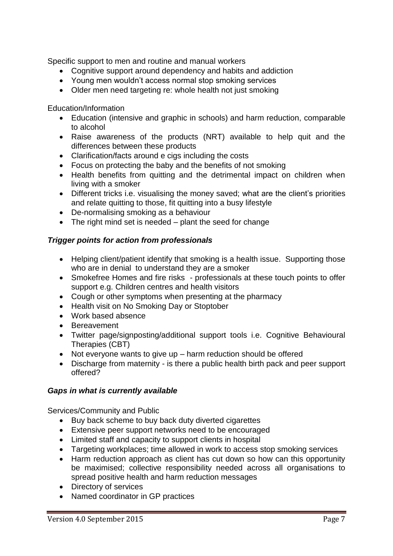Specific support to men and routine and manual workers

- Cognitive support around dependency and habits and addiction
- Young men wouldn't access normal stop smoking services
- Older men need targeting re: whole health not just smoking

Education/Information

- Education (intensive and graphic in schools) and harm reduction, comparable to alcohol
- Raise awareness of the products (NRT) available to help quit and the differences between these products
- Clarification/facts around e cigs including the costs
- Focus on protecting the baby and the benefits of not smoking
- Health benefits from quitting and the detrimental impact on children when living with a smoker
- Different tricks i.e. visualising the money saved; what are the client's priorities and relate quitting to those, fit quitting into a busy lifestyle
- De-normalising smoking as a behaviour
- The right mind set is needed plant the seed for change

## *Trigger points for action from professionals*

- Helping client/patient identify that smoking is a health issue. Supporting those who are in denial to understand they are a smoker
- Smokefree Homes and fire risks professionals at these touch points to offer support e.g. Children centres and health visitors
- Cough or other symptoms when presenting at the pharmacy
- Health visit on No Smoking Day or Stoptober
- Work based absence
- Bereavement
- Twitter page/signposting/additional support tools i.e. Cognitive Behavioural Therapies (CBT)
- Not everyone wants to give up harm reduction should be offered
- Discharge from maternity is there a public health birth pack and peer support offered?

### *Gaps in what is currently available*

Services/Community and Public

- Buy back scheme to buy back duty diverted cigarettes
- Extensive peer support networks need to be encouraged
- Limited staff and capacity to support clients in hospital
- Targeting workplaces; time allowed in work to access stop smoking services
- Harm reduction approach as client has cut down so how can this opportunity be maximised; collective responsibility needed across all organisations to spread positive health and harm reduction messages
- Directory of services
- Named coordinator in GP practices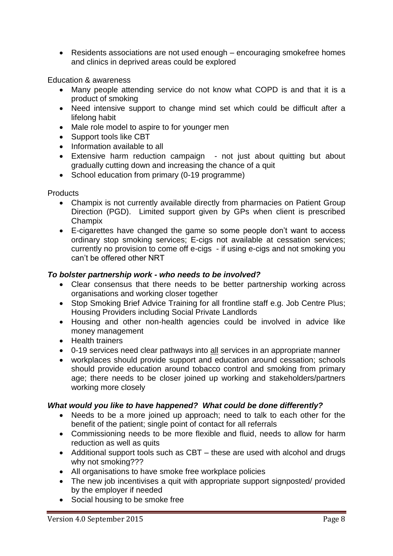• Residents associations are not used enough – encouraging smokefree homes and clinics in deprived areas could be explored

Education & awareness

- Many people attending service do not know what COPD is and that it is a product of smoking
- Need intensive support to change mind set which could be difficult after a lifelong habit
- Male role model to aspire to for younger men
- Support tools like CBT
- Information available to all
- Extensive harm reduction campaign not just about quitting but about gradually cutting down and increasing the chance of a quit
- School education from primary (0-19 programme)

**Products** 

- Champix is not currently available directly from pharmacies on Patient Group Direction (PGD). Limited support given by GPs when client is prescribed Champix
- E-cigarettes have changed the game so some people don't want to access ordinary stop smoking services; E-cigs not available at cessation services; currently no provision to come off e-cigs - if using e-cigs and not smoking you can't be offered other NRT

## *To bolster partnership work - who needs to be involved?*

- Clear consensus that there needs to be better partnership working across organisations and working closer together
- Stop Smoking Brief Advice Training for all frontline staff e.g. Job Centre Plus; Housing Providers including Social Private Landlords
- Housing and other non-health agencies could be involved in advice like money management
- Health trainers
- 0-19 services need clear pathways into all services in an appropriate manner
- workplaces should provide support and education around cessation; schools should provide education around tobacco control and smoking from primary age; there needs to be closer joined up working and stakeholders/partners working more closely

## *What would you like to have happened? What could be done differently?*

- Needs to be a more joined up approach; need to talk to each other for the benefit of the patient; single point of contact for all referrals
- Commissioning needs to be more flexible and fluid, needs to allow for harm reduction as well as quits
- Additional support tools such as CBT these are used with alcohol and drugs why not smoking???
- All organisations to have smoke free workplace policies
- The new job incentivises a quit with appropriate support signposted/ provided by the employer if needed
- Social housing to be smoke free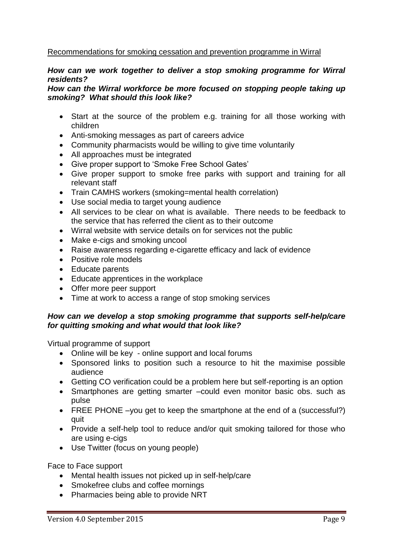### Recommendations for smoking cessation and prevention programme in Wirral

#### *How can we work together to deliver a stop smoking programme for Wirral residents?*

### *How can the Wirral workforce be more focused on stopping people taking up smoking? What should this look like?*

- Start at the source of the problem e.g. training for all those working with children
- Anti-smoking messages as part of careers advice
- Community pharmacists would be willing to give time voluntarily
- All approaches must be integrated
- Give proper support to 'Smoke Free School Gates'
- Give proper support to smoke free parks with support and training for all relevant staff
- Train CAMHS workers (smoking=mental health correlation)
- Use social media to target young audience
- All services to be clear on what is available. There needs to be feedback to the service that has referred the client as to their outcome
- Wirral website with service details on for services not the public
- Make e-cigs and smoking uncool
- Raise awareness regarding e-cigarette efficacy and lack of evidence
- Positive role models
- Educate parents
- Educate apprentices in the workplace
- Offer more peer support
- Time at work to access a range of stop smoking services

### *How can we develop a stop smoking programme that supports self-help/care for quitting smoking and what would that look like?*

Virtual programme of support

- Online will be key online support and local forums
- Sponsored links to position such a resource to hit the maximise possible audience
- Getting CO verification could be a problem here but self-reporting is an option
- Smartphones are getting smarter –could even monitor basic obs. such as pulse
- FREE PHONE –you get to keep the smartphone at the end of a (successful?) quit
- Provide a self-help tool to reduce and/or quit smoking tailored for those who are using e-cigs
- Use Twitter (focus on young people)

Face to Face support

- Mental health issues not picked up in self-help/care
- Smokefree clubs and coffee mornings
- Pharmacies being able to provide NRT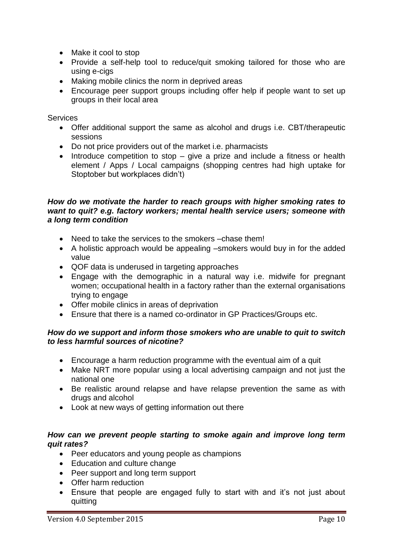- Make it cool to stop
- Provide a self-help tool to reduce/quit smoking tailored for those who are using e-cigs
- Making mobile clinics the norm in deprived areas
- Encourage peer support groups including offer help if people want to set up groups in their local area

**Services** 

- Offer additional support the same as alcohol and drugs i.e. CBT/therapeutic sessions
- Do not price providers out of the market i.e. pharmacists
- Introduce competition to stop give a prize and include a fitness or health element / Apps / Local campaigns (shopping centres had high uptake for Stoptober but workplaces didn't)

#### *How do we motivate the harder to reach groups with higher smoking rates to want to quit? e.g. factory workers; mental health service users; someone with a long term condition*

- Need to take the services to the smokers –chase them!
- A holistic approach would be appealing –smokers would buy in for the added value
- QOF data is underused in targeting approaches
- Engage with the demographic in a natural way i.e. midwife for pregnant women; occupational health in a factory rather than the external organisations trying to engage
- Offer mobile clinics in areas of deprivation
- Ensure that there is a named co-ordinator in GP Practices/Groups etc.

### *How do we support and inform those smokers who are unable to quit to switch to less harmful sources of nicotine?*

- Encourage a harm reduction programme with the eventual aim of a quit
- Make NRT more popular using a local advertising campaign and not just the national one
- Be realistic around relapse and have relapse prevention the same as with drugs and alcohol
- Look at new ways of getting information out there

### *How can we prevent people starting to smoke again and improve long term quit rates?*

- Peer educators and young people as champions
- Education and culture change
- Peer support and long term support
- Offer harm reduction
- Ensure that people are engaged fully to start with and it's not just about quitting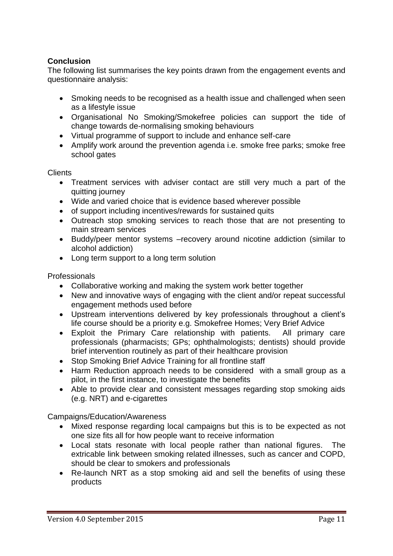## **Conclusion**

The following list summarises the key points drawn from the engagement events and questionnaire analysis:

- Smoking needs to be recognised as a health issue and challenged when seen as a lifestyle issue
- Organisational No Smoking/Smokefree policies can support the tide of change towards de-normalising smoking behaviours
- Virtual programme of support to include and enhance self-care
- Amplify work around the prevention agenda i.e. smoke free parks; smoke free school gates

Clients

- Treatment services with adviser contact are still very much a part of the quitting journey
- Wide and varied choice that is evidence based wherever possible
- of support including incentives/rewards for sustained quits
- Outreach stop smoking services to reach those that are not presenting to main stream services
- Buddy/peer mentor systems –recovery around nicotine addiction (similar to alcohol addiction)
- Long term support to a long term solution

### Professionals

- Collaborative working and making the system work better together
- New and innovative ways of engaging with the client and/or repeat successful engagement methods used before
- Upstream interventions delivered by key professionals throughout a client's life course should be a priority e.g. Smokefree Homes; Very Brief Advice
- Exploit the Primary Care relationship with patients. All primary care professionals (pharmacists; GPs; ophthalmologists; dentists) should provide brief intervention routinely as part of their healthcare provision
- Stop Smoking Brief Advice Training for all frontline staff
- Harm Reduction approach needs to be considered with a small group as a pilot, in the first instance, to investigate the benefits
- Able to provide clear and consistent messages regarding stop smoking aids (e.g. NRT) and e-cigarettes

Campaigns/Education/Awareness

- Mixed response regarding local campaigns but this is to be expected as not one size fits all for how people want to receive information
- Local stats resonate with local people rather than national figures. The extricable link between smoking related illnesses, such as cancer and COPD, should be clear to smokers and professionals
- Re-launch NRT as a stop smoking aid and sell the benefits of using these products